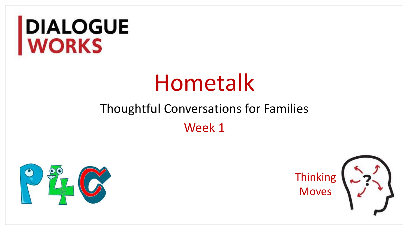# DIALOGUE<br>WORKS

# Hometalk

## Thoughtful Conversations for Families Week 1



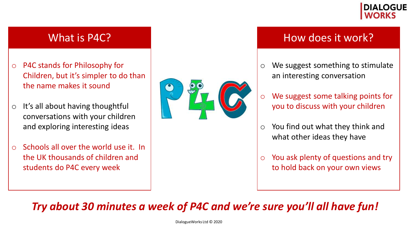

- o P4C stands for Philosophy for Children, but it's simpler to do than the name makes it sound
- $\circ$  It's all about having thoughtful conversations with your children and exploring interesting ideas
- $\circ$  Schools all over the world use it. In the UK thousands of children and students do P4C every week



#### What is P4C? The subset of the set of the How does it work?

- o We suggest something to stimulate an interesting conversation
- o We suggest some talking points for you to discuss with your children
- $\circ$  You find out what they think and what other ideas they have
- $\circ$  You ask plenty of questions and try to hold back on your own views

*Try about 30 minutes a week of P4C and we're sure you'll all have fun!* 

DialogueWorks Ltd © 2020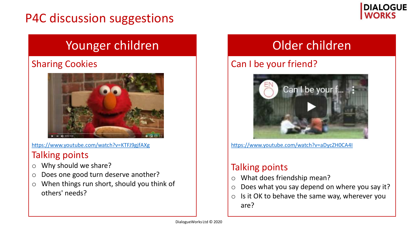## P4C discussion suggestions



#### Younger children Nounger children

#### Sharing Cookies



https://www.youtube.com/watch?v=KTFJ9gjfAXg

#### Talking points

- o Why should we share?
- o Does one good turn deserve another?
- o When things run short, should you think of others' needs?

#### Can I be your friend?



https://www.youtube.com/watch?v=aDycZH0CA4I

#### Talking points

- o What does friendship mean?
- $\circ$  Does what you say depend on where you say it?
- o Is it OK to behave the same way, wherever you are?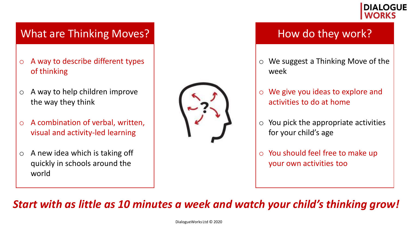

#### What are Thinking Moves? Manual Move they work?

- $\circ$  A way to describe different types of thinking
- $\circ$  A way to help children improve the way they think
- $\circ$  A combination of verbal, written, visual and activity-led learning
- $\circ$  A new idea which is taking off quickly in schools around the world



- o We suggest a Thinking Move of the week
- o We give you ideas to explore and activities to do at home
- $\circ$  You pick the appropriate activities for your child's age
- o You should feel free to make up your own activities too

*Start with as little as 10 minutes a week and watch your child's thinking grow!*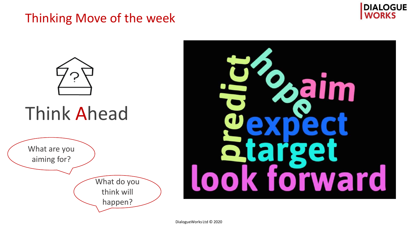### Thinking Move of the week



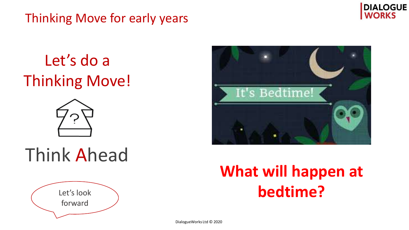Thinking Move for early years



Let's do a Thinking Move!





## Think Ahead



## **What will happen at bedtime?**

DialogueWorks Ltd © 2020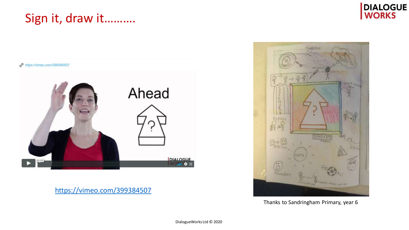### Sign it, draw it..........





https://vimeo.com/399384507



Thanks to Sandringham Primary, year 6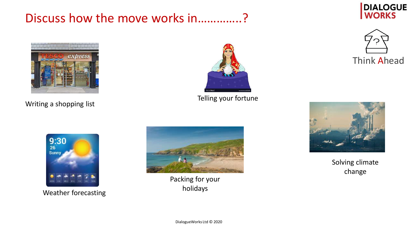### Discuss how the move works in…………..?



Writing a shopping list



Telling your fortune







9:30  $26$ **Sunny** 

Weather forecasting



Packing for your holidays

Solving climate change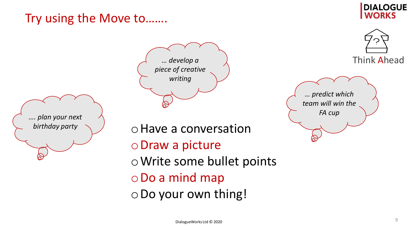## Try using the Move to…….

#### **DIALOGUE WORKS**







*… predict which team will win the FA cup*

oHave a conversation oDraw a picture oWrite some bullet points oDo a mind map oDo your own thing!